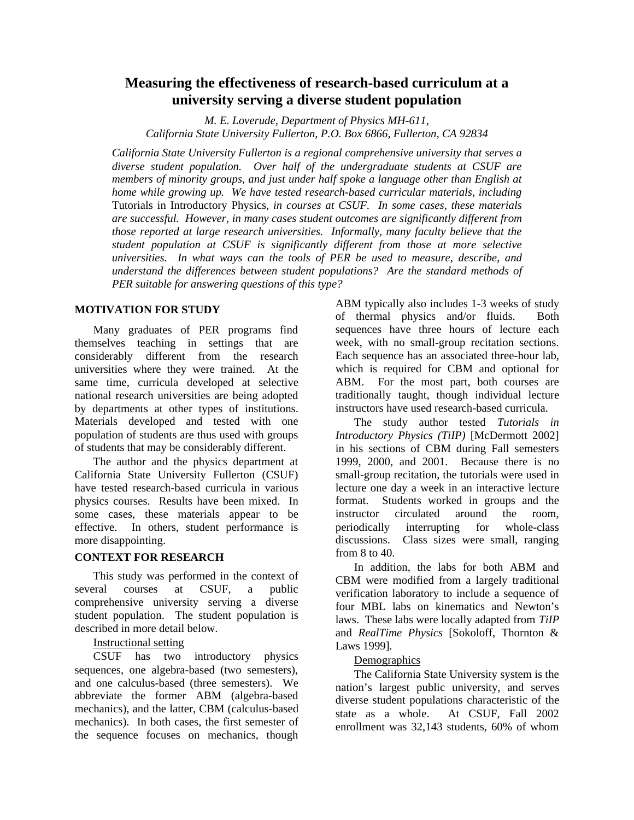# **Measuring the effectiveness of research-based curriculum at a university serving a diverse student population**

*M. E. Loverude, Department of Physics MH-611, California State University Fullerton, P.O. Box 6866, Fullerton, CA 92834*

*California State University Fullerton is a regional comprehensive university that serves a diverse student population. Over half of the undergraduate students at CSUF are members of minority groups, and just under half spoke a language other than English at home while growing up. We have tested research-based curricular materials, including* Tutorials in Introductory Physics, *in courses at CSUF. In some cases, these materials are successful. However, in many cases student outcomes are significantly different from those reported at large research universities. Informally, many faculty believe that the student population at CSUF is significantly different from those at more selective universities. In what ways can the tools of PER be used to measure, describe, and understand the differences between student populations? Are the standard methods of PER suitable for answering questions of this type?*

### **MOTIVATION FOR STUDY**

Many graduates of PER programs find themselves teaching in settings that are considerably different from the research universities where they were trained. At the same time, curricula developed at selective national research universities are being adopted by departments at other types of institutions. Materials developed and tested with one population of students are thus used with groups of students that may be considerably different.

The author and the physics department at California State University Fullerton (CSUF) have tested research-based curricula in various physics courses. Results have been mixed. In some cases, these materials appear to be effective. In others, student performance is more disappointing.

### **CONTEXT FOR RESEARCH**

This study was performed in the context of several courses at CSUF, a public comprehensive university serving a diverse student population. The student population is described in more detail below.

### Instructional setting

CSUF has two introductory physics sequences, one algebra-based (two semesters), and one calculus-based (three semesters). We abbreviate the former ABM (algebra-based mechanics), and the latter, CBM (calculus-based mechanics). In both cases, the first semester of the sequence focuses on mechanics, though

ABM typically also includes 1-3 weeks of study of thermal physics and/or fluids. Both sequences have three hours of lecture each week, with no small-group recitation sections. Each sequence has an associated three-hour lab, which is required for CBM and optional for ABM. For the most part, both courses are traditionally taught, though individual lecture instructors have used research-based curricula.

The study author tested *Tutorials in Introductory Physics (TiIP)* [McDermott 2002] in his sections of CBM during Fall semesters 1999, 2000, and 2001. Because there is no small-group recitation, the tutorials were used in lecture one day a week in an interactive lecture format. Students worked in groups and the instructor circulated around the room, periodically interrupting for whole-class discussions. Class sizes were small, ranging from 8 to 40.

In addition, the labs for both ABM and CBM were modified from a largely traditional verification laboratory to include a sequence of four MBL labs on kinematics and Newton's laws. These labs were locally adapted from *TiIP* and *RealTime Physics* [Sokoloff, Thornton & Laws 1999]*.*

### **Demographics**

The California State University system is the nation's largest public university, and serves diverse student populations characteristic of the state as a whole. At CSUF, Fall 2002 enrollment was 32,143 students, 60% of whom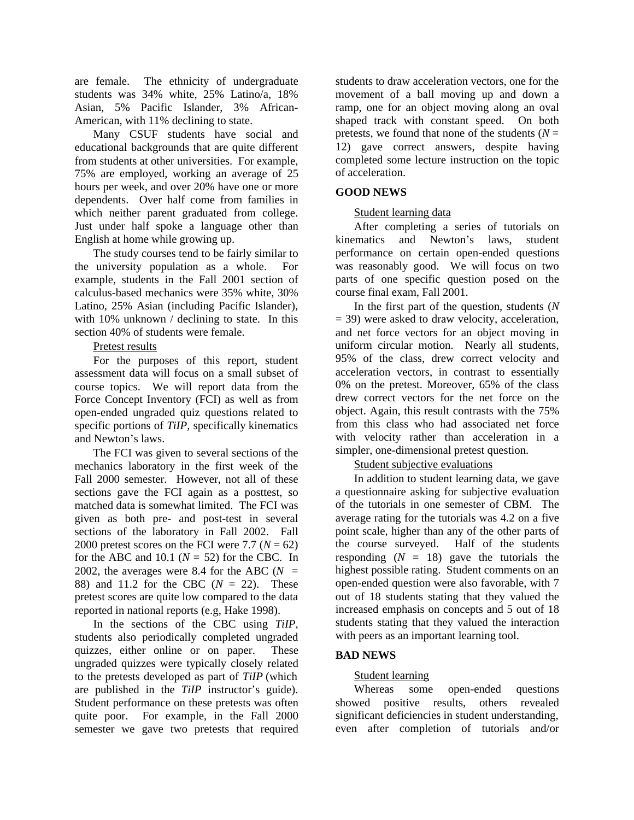are female. The ethnicity of undergraduate students was 34% white, 25% Latino/a, 18% Asian, 5% Pacific Islander, 3% African-American, with 11% declining to state.

Many CSUF students have social and educational backgrounds that are quite different from students at other universities. For example, 75% are employed, working an average of 25 hours per week, and over 20% have one or more dependents. Over half come from families in which neither parent graduated from college. Just under half spoke a language other than English at home while growing up.

The study courses tend to be fairly similar to the university population as a whole. For example, students in the Fall 2001 section of calculus-based mechanics were 35% white, 30% Latino, 25% Asian (including Pacific Islander), with 10% unknown / declining to state. In this section 40% of students were female.

### Pretest results

For the purposes of this report, student assessment data will focus on a small subset of course topics. We will report data from the Force Concept Inventory (FCI) as well as from open-ended ungraded quiz questions related to specific portions of *TiIP,* specifically kinematics and Newton's laws.

The FCI was given to several sections of the mechanics laboratory in the first week of the Fall 2000 semester. However, not all of these sections gave the FCI again as a posttest, so matched data is somewhat limited. The FCI was given as both pre- and post-test in several sections of the laboratory in Fall 2002. Fall 2000 pretest scores on the FCI were 7.7  $(N = 62)$ for the ABC and 10.1 ( $N = 52$ ) for the CBC. In 2002, the averages were 8.4 for the ABC  $(N =$ 88) and 11.2 for the CBC (*N* = 22). These pretest scores are quite low compared to the data reported in national reports (e.g, Hake 1998).

In the sections of the CBC using *TiIP,* students also periodically completed ungraded quizzes, either online or on paper. These ungraded quizzes were typically closely related to the pretests developed as part of *TiIP* (which are published in the *TiIP* instructor's guide). Student performance on these pretests was often quite poor. For example, in the Fall 2000 semester we gave two pretests that required students to draw acceleration vectors, one for the movement of a ball moving up and down a ramp, one for an object moving along an oval shaped track with constant speed. On both pretests, we found that none of the students  $(N =$ 12) gave correct answers, despite having completed some lecture instruction on the topic of acceleration.

### **GOOD NEWS**

### Student learning data

After completing a series of tutorials on kinematics and Newton's laws, student performance on certain open-ended questions was reasonably good. We will focus on two parts of one specific question posed on the course final exam, Fall 2001.

In the first part of the question, students (*N* = 39) were asked to draw velocity, acceleration, and net force vectors for an object moving in uniform circular motion. Nearly all students, 95% of the class, drew correct velocity and acceleration vectors, in contrast to essentially 0% on the pretest. Moreover, 65% of the class drew correct vectors for the net force on the object. Again, this result contrasts with the 75% from this class who had associated net force with velocity rather than acceleration in a simpler, one-dimensional pretest question.

Student subjective evaluations

In addition to student learning data, we gave a questionnaire asking for subjective evaluation of the tutorials in one semester of CBM. The average rating for the tutorials was 4.2 on a five point scale, higher than any of the other parts of the course surveyed. Half of the students responding  $(N = 18)$  gave the tutorials the highest possible rating. Student comments on an open-ended question were also favorable, with 7 out of 18 students stating that they valued the increased emphasis on concepts and 5 out of 18 students stating that they valued the interaction with peers as an important learning tool.

### **BAD NEWS**

## Student learning

Whereas some open-ended questions showed positive results, others revealed significant deficiencies in student understanding, even after completion of tutorials and/or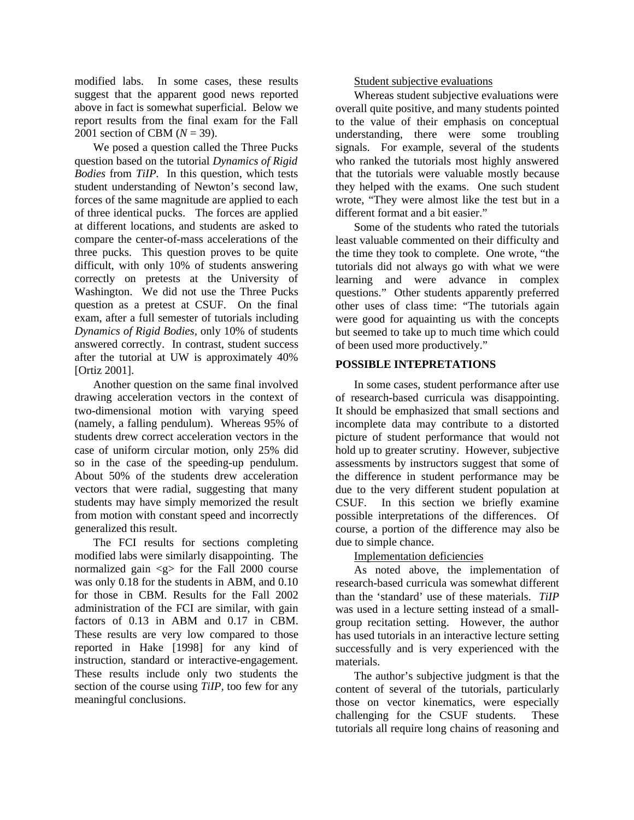modified labs. In some cases, these results suggest that the apparent good news reported above in fact is somewhat superficial. Below we report results from the final exam for the Fall 2001 section of CBM (*N* = 39).

We posed a question called the Three Pucks question based on the tutorial *Dynamics of Rigid Bodies* from *TiIP.* In this question, which tests student understanding of Newton's second law, forces of the same magnitude are applied to each of three identical pucks. The forces are applied at different locations, and students are asked to compare the center-of-mass accelerations of the three pucks. This question proves to be quite difficult, with only 10% of students answering correctly on pretests at the University of Washington. We did not use the Three Pucks question as a pretest at CSUF. On the final exam, after a full semester of tutorials including *Dynamics of Rigid Bodies,* only 10% of students answered correctly. In contrast, student success after the tutorial at UW is approximately 40% [Ortiz 2001].

Another question on the same final involved drawing acceleration vectors in the context of two-dimensional motion with varying speed (namely, a falling pendulum). Whereas 95% of students drew correct acceleration vectors in the case of uniform circular motion, only 25% did so in the case of the speeding-up pendulum. About 50% of the students drew acceleration vectors that were radial, suggesting that many students may have simply memorized the result from motion with constant speed and incorrectly generalized this result.

The FCI results for sections completing modified labs were similarly disappointing. The normalized gain  $\langle g \rangle$  for the Fall 2000 course was only 0.18 for the students in ABM, and 0.10 for those in CBM. Results for the Fall 2002 administration of the FCI are similar, with gain factors of 0.13 in ABM and 0.17 in CBM. These results are very low compared to those reported in Hake [1998] for any kind of instruction, standard or interactive-engagement. These results include only two students the section of the course using *TiIP,* too few for any meaningful conclusions.

#### Student subjective evaluations

Whereas student subjective evaluations were overall quite positive, and many students pointed to the value of their emphasis on conceptual understanding, there were some troubling signals. For example, several of the students who ranked the tutorials most highly answered that the tutorials were valuable mostly because they helped with the exams. One such student wrote, "They were almost like the test but in a different format and a bit easier."

Some of the students who rated the tutorials least valuable commented on their difficulty and the time they took to complete. One wrote, "the tutorials did not always go with what we were learning and were advance in complex questions." Other students apparently preferred other uses of class time: "The tutorials again were good for aquainting us with the concepts but seemed to take up to much time which could of been used more productively."

### **POSSIBLE INTEPRETATIONS**

In some cases, student performance after use of research-based curricula was disappointing. It should be emphasized that small sections and incomplete data may contribute to a distorted picture of student performance that would not hold up to greater scrutiny. However, subjective assessments by instructors suggest that some of the difference in student performance may be due to the very different student population at CSUF. In this section we briefly examine possible interpretations of the differences. Of course, a portion of the difference may also be due to simple chance.

### Implementation deficiencies

As noted above, the implementation of research-based curricula was somewhat different than the 'standard' use of these materials. *TiIP* was used in a lecture setting instead of a smallgroup recitation setting. However, the author has used tutorials in an interactive lecture setting successfully and is very experienced with the materials.

The author's subjective judgment is that the content of several of the tutorials, particularly those on vector kinematics, were especially challenging for the CSUF students. These tutorials all require long chains of reasoning and